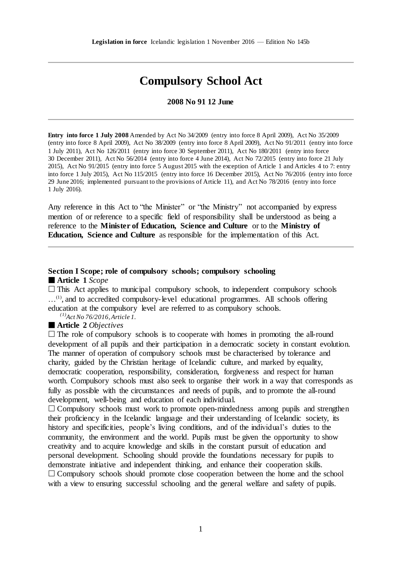# **Compulsory School Act**

**2008 No 91 12 June**

**Entry into force 1 July 2008** Amended by Act No 34/2009 (entry into force 8 April 2009), Act No 35/2009 (entry into force 8 April 2009), Act No 38/2009 (entry into force 8 April 2009), Act No 91/2011 (entry into force 1 July 2011), Act No 126/2011 (entry into force 30 September 2011), Act No 180/2011 (entry into force 30 December 2011), Act No 56/2014 (entry into force 4 June 2014), Act No 72/2015 (entry into force 21 July 2015), Act No 91/2015 (entry into force 5 August 2015 with the exception of Article 1 and Articles 4 to 7: entry into force 1 July 2015), Act No 115/2015 (entry into force 16 December 2015), Act No 76/2016 (entry into force 29 June 2016; implemented pursuant to the provisions of Article 11), and Act No 78/2016 (entry into force 1 July 2016).

Any reference in this Act to "the Minister" or "the Ministry" not accompanied by express mention of or reference to a specific field of responsibility shall be understood as being a reference to the **Minister of Education, Science and Culture** or to the **Ministry of Education, Science and Culture** as responsible for the implementation of this Act.

# **Section I Scope; role of compulsory schools; compulsory schooling**

**Article 1** *Scope*

 $\Box$  This Act applies to municipal compulsory schools, to independent compulsory schools ...<sup>(1)</sup>, and to accredited compulsory-level educational programmes. All schools offering education at the compulsory level are referred to as compulsory schools.

*(1)Act No 76/2016,Article 1.*

### **Article 2** *Objectives*

 $\Box$  The role of compulsory schools is to cooperate with homes in promoting the all-round development of all pupils and their participation in a democratic society in constant evolution. The manner of operation of compulsory schools must be characterised by tolerance and charity, guided by the Christian heritage of Icelandic culture, and marked by equality, democratic cooperation, responsibility, consideration, forgiveness and respect for human worth. Compulsory schools must also seek to organise their work in a way that corresponds as fully as possible with the circumstances and needs of pupils, and to promote the all-round development, well-being and education of each individual.

 $\Box$  Compulsory schools must work to promote open-mindedness among pupils and strengthen their proficiency in the Icelandic language and their understanding of Icelandic society, its history and specificities, people's living conditions, and of the individual's duties to the community, the environment and the world. Pupils must be given the opportunity to show creativity and to acquire knowledge and skills in the constant pursuit of education and personal development. Schooling should provide the foundations necessary for pupils to demonstrate initiative and independent thinking, and enhance their cooperation skills.  $\Box$  Compulsory schools should promote close cooperation between the home and the school with a view to ensuring successful schooling and the general welfare and safety of pupils.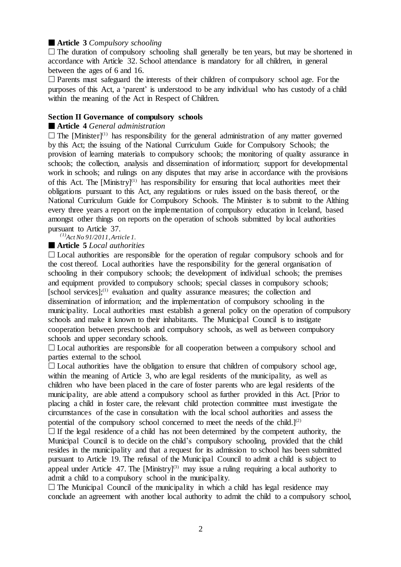# **Article 3** *Compulsory schooling*

 $\Box$  The duration of compulsory schooling shall generally be ten years, but may be shortened in accordance with Article 32. School attendance is mandatory for all children, in general between the ages of 6 and 16.

 Parents must safeguard the interests of their children of compulsory school age. For the purposes of this Act, a 'parent' is understood to be any individual who has custody of a child within the meaning of the Act in Respect of Children.

### **Section II Governance of compulsory schools**

### **Article 4** *General administration*

 $\Box$  The [Minister]<sup>(1)</sup> has responsibility for the general administration of any matter governed by this Act; the issuing of the National Curriculum Guide for Compulsory Schools; the provision of learning materials to compulsory schools; the monitoring of quality assurance in schools; the collection, analysis and dissemination of information; support for developmental work in schools; and rulings on any disputes that may arise in accordance with the provisions of this Act. The  $[M\text{inistr}V]^{(1)}$  has responsibility for ensuring that local authorities meet their obligations pursuant to this Act, any regulations or rules issued on the basis thereof, or the National Curriculum Guide for Compulsory Schools. The Minister is to submit to the Althing every three years a report on the implementation of compulsory education in Iceland, based amongst other things on reports on the operation of schools submitted by local authorities pursuant to Article 37.

*(1)Act No 91/2011,Article 1.*

### **Article 5** *Local authorities*

 $\Box$  Local authorities are responsible for the operation of regular compulsory schools and for the cost thereof. Local authorities have the responsibility for the general organisation of schooling in their compulsory schools; the development of individual schools; the premises and equipment provided to compulsory schools; special classes in compulsory schools; [school services];<sup>(1)</sup> evaluation and quality assurance measures; the collection and dissemination of information; and the implementation of compulsory schooling in the municipality. Local authorities must establish a general policy on the operation of compulsory schools and make it known to their inhabitants. The Municipal Council is to instigate cooperation between preschools and compulsory schools, as well as between compulsory schools and upper secondary schools.

 $\Box$  Local authorities are responsible for all cooperation between a compulsory school and parties external to the school.

 $\Box$  Local authorities have the obligation to ensure that children of compulsory school age, within the meaning of Article 3, who are legal residents of the municipality, as well as children who have been placed in the care of foster parents who are legal residents of the municipality, are able attend a compulsory school as further provided in this Act. [Prior to placing a child in foster care, the relevant child protection committee must investigate the circumstances of the case in consultation with the local school authorities and assess the potential of the compulsory school concerned to meet the needs of the child.]<sup>(2)</sup>

 $\Box$  If the legal residence of a child has not been determined by the competent authority, the Municipal Council is to decide on the child's compulsory schooling, provided that the child resides in the municipality and that a request for its admission to school has been submitted pursuant to Article 19. The refusal of the Municipal Council to admit a child is subject to appeal under Article 47. The  $[M\text{inistry}]^{(3)}$  may issue a ruling requiring a local authority to admit a child to a compulsory school in the municipality.

 $\Box$  The Municipal Council of the municipality in which a child has legal residence may conclude an agreement with another local authority to admit the child to a compulsory school,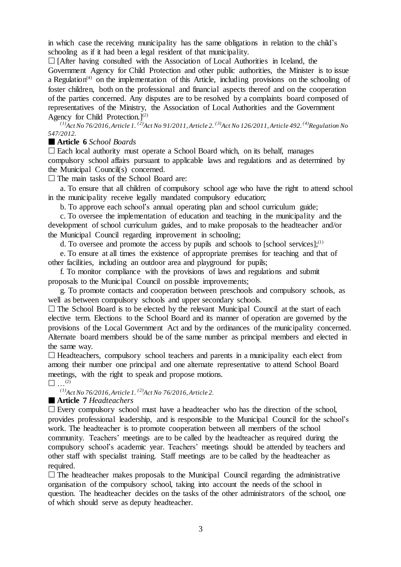in which case the receiving municipality has the same obligations in relation to the child's schooling as if it had been a legal resident of that municipality.

 $\Box$  [After having consulted with the Association of Local Authorities in Iceland, the Government Agency for Child Protection and other public authorities, the Minister is to issue a Regulation<sup> $(4)$ </sup> on the implementation of this Article, including provisions on the schooling of foster children, both on the professional and financial aspects thereof and on the cooperation of the parties concerned. Any disputes are to be resolved by a complaints board composed of representatives of the Ministry, the Association of Local Authorities and the Government Agency for Child Protection.]<sup>(2)</sup>

<sup>(1)</sup>Act No 76/2016, Article 1.<sup>(2)</sup>Act No 91/2011, Article 2.<sup>(3)</sup>Act No 126/2011, Article 492.<sup>(4)</sup>Regulation No *547/2012.*

### **Article 6** *School Boards*

 $\Box$  Each local authority must operate a School Board which, on its behalf, manages compulsory school affairs pursuant to applicable laws and regulations and as determined by the Municipal Council(s) concerned.

 $\Box$  The main tasks of the School Board are:

a. To ensure that all children of compulsory school age who have the right to attend school in the municipality receive legally mandated compulsory education;

b. To approve each school's annual operating plan and school curriculum guide;

c. To oversee the implementation of education and teaching in the municipality and the development of school curriculum guides, and to make proposals to the headteacher and/or the Municipal Council regarding improvement in schooling;

d. To oversee and promote the access by pupils and schools to [school services]; $^{(1)}$ 

e. To ensure at all times the existence of appropriate premises for teaching and that of other facilities, including an outdoor area and playground for pupils;

f. To monitor compliance with the provisions of laws and regulations and submit proposals to the Municipal Council on possible improvements;

g. To promote contacts and cooperation between preschools and compulsory schools, as well as between compulsory schools and upper secondary schools.

 $\Box$  The School Board is to be elected by the relevant Municipal Council at the start of each elective term. Elections to the School Board and its manner of operation are governed by the provisions of the Local Government Act and by the ordinances of the municipality concerned. Alternate board members should be of the same number as principal members and elected in the same way.

 $\Box$  Headteachers, compulsory school teachers and parents in a municipality each elect from among their number one principal and one alternate representative to attend School Board meetings, with the right to speak and propose motions.

 $\Box$  ...<sup>(2)</sup>

*(1)Act No 76/2016,Article 1. (2)Act No 76/2016,Article 2.*

**Article 7** *Headteachers*

 $\Box$  Every compulsory school must have a headteacher who has the direction of the school, provides professional leadership, and is responsible to the Municipal Council for the school's work. The headteacher is to promote cooperation between all members of the school community. Teachers' meetings are to be called by the headteacher as required during the compulsory school's academic year. Teachers' meetings should be attended by teachers and other staff with specialist training. Staff meetings are to be called by the headteacher as required.

 $\Box$  The headteacher makes proposals to the Municipal Council regarding the administrative organisation of the compulsory school, taking into account the needs of the school in question. The headteacher decides on the tasks of the other administrators of the school, one of which should serve as deputy headteacher.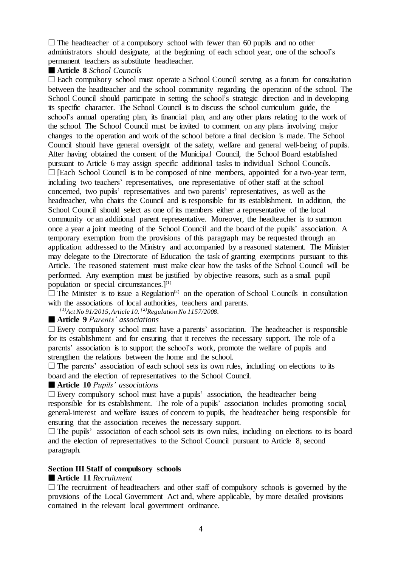$\Box$  The headteacher of a compulsory school with fewer than 60 pupils and no other administrators should designate, at the beginning of each school year, one of the school's permanent teachers as substitute headteacher.

# **Article 8** *School Councils*

 $\Box$  Each compulsory school must operate a School Council serving as a forum for consultation between the headteacher and the school community regarding the operation of the school. The School Council should participate in setting the school's strategic direction and in developing its specific character. The School Council is to discuss the school curriculum guide, the school's annual operating plan, its financial plan, and any other plans relating to the work of the school. The School Council must be invited to comment on any plans involving major changes to the operation and work of the school before a final decision is made. The School Council should have general oversight of the safety, welfare and general well-being of pupils. After having obtained the consent of the Municipal Council, the School Board established pursuant to Article 6 may assign specific additional tasks to individual School Councils.  $\Box$  [Each School Council is to be composed of nine members, appointed for a two-year term, including two teachers' representatives, one representative of other staff at the school concerned, two pupils' representatives and two parents' representatives, as well as the headteacher, who chairs the Council and is responsible for its establishment. In addition, the School Council should select as one of its members either a representative of the local community or an additional parent representative. Moreover, the headteacher is to summon once a year a joint meeting of the School Council and the board of the pupils' association. A temporary exemption from the provisions of this paragraph may be requested through an application addressed to the Ministry and accompanied by a reasoned statement. The Minister may delegate to the Directorate of Education the task of granting exemptions pursuant to this Article. The reasoned statement must make clear how the tasks of the School Council will be performed. Any exemption must be justified by objective reasons, such as a small pupil population or special circumstances. $]^{(1)}$ 

 $\Box$  The Minister is to issue a Regulation<sup>(2)</sup> on the operation of School Councils in consultation with the associations of local authorities, teachers and parents.

*(1)Act No 91/2015,Article 10. (2)Regulation No 1157/2008.*

# **Article 9** *Parents' associations*

 $\square$  Every compulsory school must have a parents' association. The headteacher is responsible for its establishment and for ensuring that it receives the necessary support. The role of a parents' association is to support the school's work, promote the welfare of pupils and strengthen the relations between the home and the school.

 $\Box$  The parents' association of each school sets its own rules, including on elections to its board and the election of representatives to the School Council.

#### **Article 10** *Pupils' associations*

 $\square$  Every compulsory school must have a pupils' association, the headteacher being responsible for its establishment. The role of a pupils' association includes promoting social, general-interest and welfare issues of concern to pupils, the headteacher being responsible for ensuring that the association receives the necessary support.

 $\Box$  The pupils' association of each school sets its own rules, including on elections to its board and the election of representatives to the School Council pursuant to Article 8, second paragraph.

# **Section III Staff of compulsory schools**

#### **Article 11** *Recruitment*

 $\Box$  The recruitment of headteachers and other staff of compulsory schools is governed by the provisions of the Local Government Act and, where applicable, by more detailed provisions contained in the relevant local government ordinance.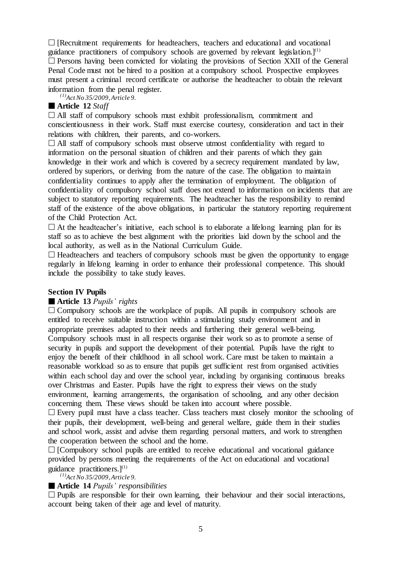$\Box$  [Recruitment requirements for headteachers, teachers and educational and vocational guidance practitioners of compulsory schools are governed by relevant legislation.]<sup>(1)</sup>  $\square$  Persons having been convicted for violating the provisions of Section XXII of the General Penal Code must not be hired to a position at a compulsory school. Prospective employees must present a criminal record certificate or authorise the headteacher to obtain the relevant information from the penal register.

*(1)Act No 35/2009,Article 9.*

# **Article 12** *Staff*

 $\Box$  All staff of compulsory schools must exhibit professionalism, commitment and conscientiousness in their work. Staff must exercise courtesy, consideration and tact in their relations with children, their parents, and co-workers.

 $\Box$  All staff of compulsory schools must observe utmost confidentiality with regard to information on the personal situation of children and their parents of which they gain knowledge in their work and which is covered by a secrecy requirement mandated by law, ordered by superiors, or deriving from the nature of the case. The obligation to maintain confidentiality continues to apply after the termination of employment. The obligation of confidentiality of compulsory school staff does not extend to information on incidents that are subject to statutory reporting requirements. The headteacher has the responsibility to remind staff of the existence of the above obligations, in particular the statutory reporting requirement of the Child Protection Act.

 $\Box$  At the headteacher's initiative, each school is to elaborate a lifelong learning plan for its staff so as to achieve the best alignment with the priorities laid down by the school and the local authority, as well as in the National Curriculum Guide.

 $\Box$  Headteachers and teachers of compulsory schools must be given the opportunity to engage regularly in lifelong learning in order to enhance their professional competence. This should include the possibility to take study leaves.

# **Section IV Pupils**

# **Article 13** *Pupils' rights*

 $\Box$  Compulsory schools are the workplace of pupils. All pupils in compulsory schools are entitled to receive suitable instruction within a stimulating study environment and in appropriate premises adapted to their needs and furthering their general well-being. Compulsory schools must in all respects organise their work so as to promote a sense of security in pupils and support the development of their potential. Pupils have the right to enjoy the benefit of their childhood in all school work. Care must be taken to maintain a reasonable workload so as to ensure that pupils get sufficient rest from organised activities within each school day and over the school year, including by organising continuous breaks over Christmas and Easter. Pupils have the right to express their views on the study environment, learning arrangements, the organisation of schooling, and any other decision concerning them. These views should be taken into account where possible.

 $\square$  Every pupil must have a class teacher. Class teachers must closely monitor the schooling of their pupils, their development, well-being and general welfare, guide them in their studies and school work, assist and advise them regarding personal matters, and work to strengthen the cooperation between the school and the home.

 $\Box$  [Compulsory school pupils are entitled to receive educational and vocational guidance provided by persons meeting the requirements of the Act on educational and vocational guidance practitioners. $]^{(1)}$ 

*(1)Act No 35/2009,Article 9.*

# **Article 14** *Pupils' responsibilities*

 $\Box$  Pupils are responsible for their own learning, their behaviour and their social interactions, account being taken of their age and level of maturity.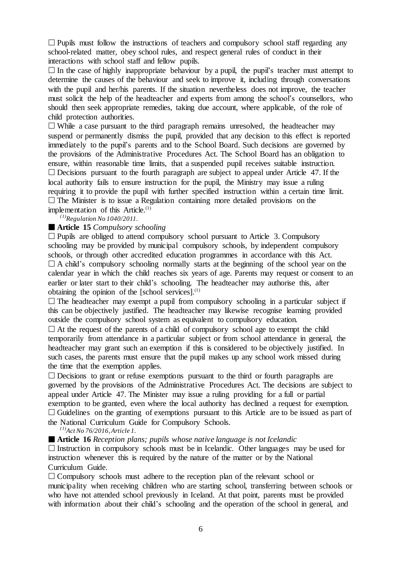$\Box$  Pupils must follow the instructions of teachers and compulsory school staff regarding any school-related matter, obey school rules, and respect general rules of conduct in their interactions with school staff and fellow pupils.

 $\Box$  In the case of highly inappropriate behaviour by a pupil, the pupil's teacher must attempt to determine the causes of the behaviour and seek to improve it, including through conversations with the pupil and her/his parents. If the situation nevertheless does not improve, the teacher must solicit the help of the headteacher and experts from among the school's counsellors, who should then seek appropriate remedies, taking due account, where applicable, of the role of child protection authorities.

 $\Box$  While a case pursuant to the third paragraph remains unresolved, the headteacher may suspend or permanently dismiss the pupil, provided that any decision to this effect is reported immediately to the pupil's parents and to the School Board. Such decisions are governed by the provisions of the Administrative Procedures Act. The School Board has an obligation to ensure, within reasonable time limits, that a suspended pupil receives suitable instruction.  $\square$  Decisions pursuant to the fourth paragraph are subject to appeal under Article 47. If the local authority fails to ensure instruction for the pupil, the Ministry may issue a ruling requiring it to provide the pupil with further specified instruction within a certain time limit.  $\Box$  The Minister is to issue a Regulation containing more detailed provisions on the implementation of this Article.<sup>(1)</sup>

*(1)Regulation No 1040/2011.*

# **Article 15** *Compulsory schooling*

 $\Box$  Pupils are obliged to attend compulsory school pursuant to Article 3. Compulsory schooling may be provided by municipal compulsory schools, by independent compulsory schools, or through other accredited education programmes in accordance with this Act.  $\Box$  A child's compulsory schooling normally starts at the beginning of the school year on the calendar year in which the child reaches six years of age. Parents may request or consent to an earlier or later start to their child's schooling. The headteacher may authorise this, after obtaining the opinion of the [school services]. $<sup>(1)</sup>$ </sup>

 $\Box$  The headteacher may exempt a pupil from compulsory schooling in a particular subject if this can be objectively justified. The headteacher may likewise recognise learning provided outside the compulsory school system as equivalent to compulsory education.

 $\Box$  At the request of the parents of a child of compulsory school age to exempt the child temporarily from attendance in a particular subject or from school attendance in general, the headteacher may grant such an exemption if this is considered to be objectively justified. In such cases, the parents must ensure that the pupil makes up any school work missed during the time that the exemption applies.

 $\square$  Decisions to grant or refuse exemptions pursuant to the third or fourth paragraphs are governed by the provisions of the Administrative Procedures Act. The decisions are subject to appeal under Article 47. The Minister may issue a ruling providing for a full or partial exemption to be granted, even where the local authority has declined a request for exemption.  $\Box$  Guidelines on the granting of exemptions pursuant to this Article are to be issued as part of the National Curriculum Guide for Compulsory Schools.

*(1)Act No 76/2016,Article 1.*

**Article 16** *Reception plans; pupils whose native language is not Icelandic*

 $\Box$  Instruction in compulsory schools must be in Icelandic. Other languages may be used for instruction whenever this is required by the nature of the matter or by the National Curriculum Guide.

 $\Box$  Compulsory schools must adhere to the reception plan of the relevant school or municipality when receiving children who are starting school, transferring between schools or who have not attended school previously in Iceland. At that point, parents must be provided with information about their child's schooling and the operation of the school in general, and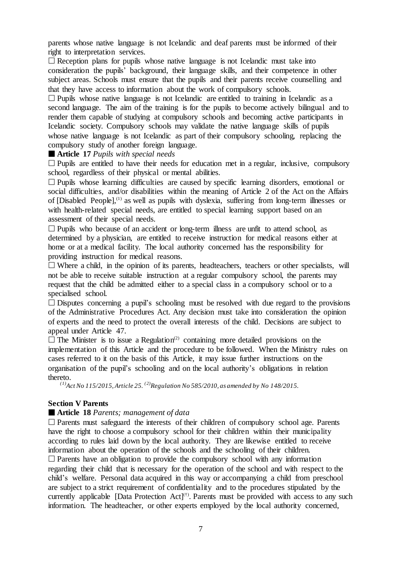parents whose native language is not Icelandic and deaf parents must be informed of their right to interpretation services.

 $\Box$  Reception plans for pupils whose native language is not Icelandic must take into consideration the pupils' background, their language skills, and their competence in other subject areas. Schools must ensure that the pupils and their parents receive counselling and that they have access to information about the work of compulsory schools.

 $\Box$  Pupils whose native language is not Icelandic are entitled to training in Icelandic as a second language. The aim of the training is for the pupils to become actively bilingual and to render them capable of studying at compulsory schools and becoming active participants in Icelandic society. Compulsory schools may validate the native language skills of pupils whose native language is not Icelandic as part of their compulsory schooling, replacing the compulsory study of another foreign language.

# **Article 17** *Pupils with special needs*

 $\Box$  Pupils are entitled to have their needs for education met in a regular, inclusive, compulsory school, regardless of their physical or mental abilities.

 $\Box$  Pupils whose learning difficulties are caused by specific learning disorders, emotional or social difficulties, and/or disabilities within the meaning of Article 2 of the Act on the Affairs of [Disabled People],(1) as well as pupils with dyslexia, suffering from long-term illnesses or with health-related special needs, are entitled to special learning support based on an assessment of their special needs.

 $\Box$  Pupils who because of an accident or long-term illness are unfit to attend school, as determined by a physician, are entitled to receive instruction for medical reasons either at home or at a medical facility. The local authority concerned has the responsibility for providing instruction for medical reasons.

 $\Box$  Where a child, in the opinion of its parents, headteachers, teachers or other specialists, will not be able to receive suitable instruction at a regular compulsory school, the parents may request that the child be admitted either to a special class in a compulsory school or to a specialised school.

 $\square$  Disputes concerning a pupil's schooling must be resolved with due regard to the provisions of the Administrative Procedures Act. Any decision must take into consideration the opinion of experts and the need to protect the overall interests of the child. Decisions are subject to appeal under Article 47.

 $\Box$  The Minister is to issue a Regulation<sup>(2)</sup> containing more detailed provisions on the implementation of this Article and the procedure to be followed. When the Ministry rules on cases referred to it on the basis of this Article, it may issue further instructions on the organisation of the pupil's schooling and on the local authority's obligations in relation thereto.

*(1)Act No 115/2015, Article 25. (2)Regulation No 585/2010, as amended by No 148/2015.*

# **Section V Parents**

# **Article 18** *Parents; management of data*

 $\Box$  Parents must safeguard the interests of their children of compulsory school age. Parents have the right to choose a compulsory school for their children within their municipality according to rules laid down by the local authority. They are likewise entitled to receive information about the operation of the schools and the schooling of their children.  $\Box$  Parents have an obligation to provide the compulsory school with any information regarding their child that is necessary for the operation of the school and with respect to the child's welfare. Personal data acquired in this way or accompanying a child from preschool are subject to a strict requirement of confidentiality and to the procedures stipulated by the currently applicable [Data Protection  $Act]^{(†)}$ . Parents must be provided with access to any such information. The headteacher, or other experts employed by the local authority concerned,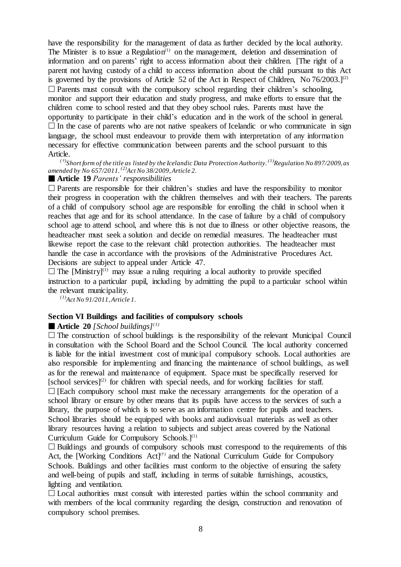have the responsibility for the management of data as further decided by the local authority. The Minister is to issue a Regulation<sup> $(1)$ </sup> on the management, deletion and dissemination of information and on parents' right to access information about their children. [The right of a parent not having custody of a child to access information about the child pursuant to this Act is governed by the provisions of Article 52 of the Act in Respect of Children, No  $76/2003$ .]<sup>(2)</sup>  $\square$  Parents must consult with the compulsory school regarding their children's schooling, monitor and support their education and study progress, and make efforts to ensure that the children come to school rested and that they obey school rules. Parents must have the opportunity to participate in their child's education and in the work of the school in general.  $\Box$  In the case of parents who are not native speakers of Icelandic or who communicate in sign language, the school must endeavour to provide them with interpretation of any information necessary for effective communication between parents and the school pursuant to this Article.

#### $^{(\dagger)}$ Short form of the title as listed by the Icelandic Data Protection Authority.  $^{(1)}$ Regulation No 897/2009, as *amended by No 657/2011. (2)Act No 38/2009,Article 2.*

### **Article 19** *Parents' responsibilities*

 $\Box$  Parents are responsible for their children's studies and have the responsibility to monitor their progress in cooperation with the children themselves and with their teachers. The parents of a child of compulsory school age are responsible for enrolling the child in school when it reaches that age and for its school attendance. In the case of failure by a child of compulsory school age to attend school, and where this is not due to illness or other objective reasons, the headteacher must seek a solution and decide on remedial measures. The headteacher must likewise report the case to the relevant child protection authorities. The headteacher must handle the case in accordance with the provisions of the Administrative Procedures Act. Decisions are subject to appeal under Article 47.

 $\Box$  The [Ministry]<sup>(1)</sup> may issue a ruling requiring a local authority to provide specified instruction to a particular pupil, including by admitting the pupil to a particular school within the relevant municipality.

*(1)Act No 91/2011,Article 1.*

#### **Section VI Buildings and facilities of compulsory schools**

#### **Article** 20 *[School buildings]*<sup>(1)</sup>

 $\Box$  The construction of school buildings is the responsibility of the relevant Municipal Council in consultation with the School Board and the School Council. The local authority concerned is liable for the initial investment cost of municipal compulsory schools. Local authorities are also responsible for implementing and financing the maintenance of school buildings, as well as for the renewal and maintenance of equipment. Space must be specifically reserved for  $[school \, services]^{(2)}$  for children with special needs, and for working facilities for staff.  $\Box$  [Each compulsory school must make the necessary arrangements for the operation of a school library or ensure by other means that its pupils have access to the services of such a library, the purpose of which is to serve as an information centre for pupils and teachers. School libraries should be equipped with books and audiovisual materials as well as other library resources having a relation to subjects and subject areas covered by the National Curriculum Guide for Compulsory Schools. $]^{(1)}$ 

 $\Box$  Buildings and grounds of compulsory schools must correspond to the requirements of this Act, the [Working Conditions Act]<sup>(†)</sup> and the National Curriculum Guide for Compulsory Schools. Buildings and other facilities must conform to the objective of ensuring the safety and well-being of pupils and staff, including in terms of suitable furnishings, acoustics, lighting and ventilation.

 $\Box$  Local authorities must consult with interested parties within the school community and with members of the local community regarding the design, construction and renovation of compulsory school premises.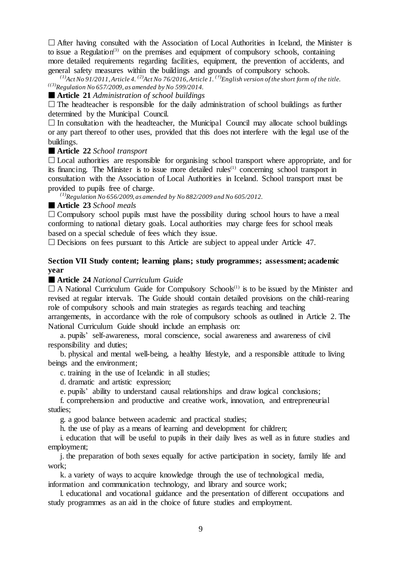$\Box$  After having consulted with the Association of Local Authorities in Iceland, the Minister is to issue a Regulation<sup>(3)</sup> on the premises and equipment of compulsory schools, containing more detailed requirements regarding facilities, equipment, the prevention of accidents, and general safety measures within the buildings and grounds of compulsory schools.

<sup>(1)</sup>Act No 91/2011, Article 4. <sup>(2)</sup>Act No 76/2016, Article 1. <sup>(†)</sup>English version of the short form of the title. *((3)Regulation No 657/2009, as amended by No 599/2014.*

**Article 21** *Administration of school buildings*

 $\Box$  The headteacher is responsible for the daily administration of school buildings as further determined by the Municipal Council.

 $\Box$  In consultation with the headteacher, the Municipal Council may allocate school buildings or any part thereof to other uses, provided that this does not interfere with the legal use of the buildings.

#### **Article 22** *School transport*

 $\Box$  Local authorities are responsible for organising school transport where appropriate, and for its financing. The Minister is to issue more detailed rules<sup> $(1)$ </sup> concerning school transport in consultation with the Association of Local Authorities in Iceland. School transport must be provided to pupils free of charge.

*(1)Regulation No 656/2009, as amended by No 882/2009 and No 605/2012.*

# **Article 23** *School meals*

 $\Box$  Compulsory school pupils must have the possibility during school hours to have a meal conforming to national dietary goals. Local authorities may charge fees for school meals based on a special schedule of fees which they issue.

 $\square$  Decisions on fees pursuant to this Article are subject to appeal under Article 47.

### **Section VII Study content; learning plans; study programmes; assessment; academic year**

# **Article 24** *National Curriculum Guide*

 $\Box$  A National Curriculum Guide for Compulsory Schools<sup>(1)</sup> is to be issued by the Minister and revised at regular intervals. The Guide should contain detailed provisions on the child-rearing role of compulsory schools and main strategies as regards teaching and teaching

arrangements, in accordance with the role of compulsory schools as outlined in Article 2. The National Curriculum Guide should include an emphasis on:

a. pupils' self-awareness, moral conscience, social awareness and awareness of civil responsibility and duties;

b. physical and mental well-being, a healthy lifestyle, and a responsible attitude to living beings and the environment;

c. training in the use of Icelandic in all studies;

d. dramatic and artistic expression;

e. pupils' ability to understand causal relationships and draw logical conclusions;

f. comprehension and productive and creative work, innovation, and entrepreneurial studies;

g. a good balance between academic and practical studies;

h. the use of play as a means of learning and development for children;

i. education that will be useful to pupils in their daily lives as well as in future studies and employment;

j. the preparation of both sexes equally for active participation in society, family life and work;

k. a variety of ways to acquire knowledge through the use of technological media,

information and communication technology, and library and source work;

l. educational and vocational guidance and the presentation of different occupations and study programmes as an aid in the choice of future studies and employment.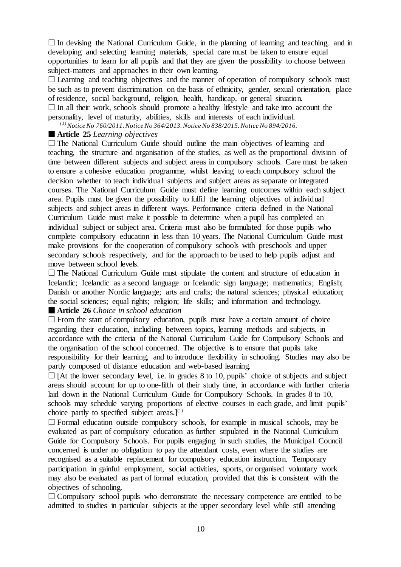$\Box$  In devising the National Curriculum Guide, in the planning of learning and teaching, and in developing and selecting learning materials, special care must be taken to ensure equal opportunities to learn for all pupils and that they are given the possibility to choose between subject-matters and approaches in their own learning.

 $\Box$  Learning and teaching objectives and the manner of operation of compulsory schools must be such as to prevent discrimination on the basis of ethnicity, gender, sexual orientation, place of residence, social background, religion, health, handicap, or general situation.

 $\Box$  In all their work, schools should promote a healthy lifestyle and take into account the personality, level of maturity, abilities, skills and interests of each individual.

*(1)Notice No 760/2011.Notice No 364/2013.Notice No 838/2015.Notice No 894/2016.*

# **Article 25** *Learning objectives*

 $\Box$  The National Curriculum Guide should outline the main objectives of learning and teaching, the structure and organisation of the studies, as well as the proportional division of time between different subjects and subject areas in compulsory schools. Care must be taken to ensure a cohesive education programme, whilst leaving to each compulsory school the decision whether to teach individual subjects and subject areas as separate or integrated courses. The National Curriculum Guide must define learning outcomes within each subject area. Pupils must be given the possibility to fulfil the learning objectives of individual subjects and subject areas in different ways. Performance criteria defined in the National Curriculum Guide must make it possible to determine when a pupil has completed an individual subject or subject area. Criteria must also be formulated for those pupils who complete compulsory education in less than 10 years. The National Curriculum Guide must make provisions for the cooperation of compulsory schools with preschools and upper secondary schools respectively, and for the approach to be used to help pupils adjust and move between school levels.

 $\Box$  The National Curriculum Guide must stipulate the content and structure of education in Icelandic; Icelandic as a second language or Icelandic sign language; mathematics; English; Danish or another Nordic language; arts and crafts; the natural sciences; physical education; the social sciences; equal rights; religion; life skills; and information and technology.

# **Article 26** *Choice in school education*

 $\Box$  From the start of compulsory education, pupils must have a certain amount of choice regarding their education, including between topics, learning methods and subjects, in accordance with the criteria of the National Curriculum Guide for Compulsory Schools and the organisation of the school concerned. The objective is to ensure that pupils take responsibility for their learning, and to introduce flexibility in schooling. Studies may also be partly composed of distance education and web-based learning.

 $\Box$  [At the lower secondary level, i.e. in grades 8 to 10, pupils' choice of subjects and subject areas should account for up to one-fifth of their study time, in accordance with further criteria laid down in the National Curriculum Guide for Compulsory Schools. In grades 8 to 10, schools may schedule varying proportions of elective courses in each grade, and limit pupils' choice partly to specified subject areas.] $(1)$ 

 $\Box$  Formal education outside compulsory schools, for example in musical schools, may be evaluated as part of compulsory education as further stipulated in the National Curriculum Guide for Compulsory Schools. For pupils engaging in such studies, the Municipal Council concerned is under no obligation to pay the attendant costs, even where the studies are recognised as a suitable replacement for compulsory education instruction. Temporary participation in gainful employment, social activities, sports, or organised voluntary work may also be evaluated as part of formal education, provided that this is consistent with the objectives of schooling.

 $\Box$  Compulsory school pupils who demonstrate the necessary competence are entitled to be admitted to studies in particular subjects at the upper secondary level while still attending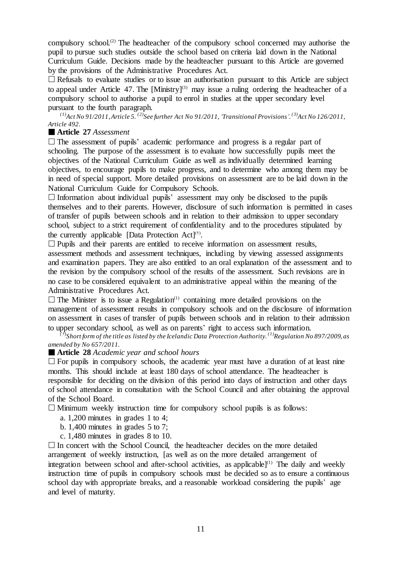compulsory school.(2) The headteacher of the compulsory school concerned may authorise the pupil to pursue such studies outside the school based on criteria laid down in the National Curriculum Guide. Decisions made by the headteacher pursuant to this Article are governed by the provisions of the Administrative Procedures Act.

 $\Box$  Refusals to evaluate studies or to issue an authorisation pursuant to this Article are subject to appeal under Article 47. The  $[M\text{inistry}]^{(3)}$  may issue a ruling ordering the headteacher of a compulsory school to authorise a pupil to enrol in studies at the upper secondary level pursuant to the fourth paragraph.

*(1)Act No 91/2011,Article 5. (2)See further Act No 91/2011,'Transitional Provisions'. (3)Act No 126/2011, Article 492.*

# **Article 27** *Assessment*

 $\Box$  The assessment of pupils' academic performance and progress is a regular part of schooling. The purpose of the assessment is to evaluate how successfully pupils meet the objectives of the National Curriculum Guide as well as individually determined learning objectives, to encourage pupils to make progress, and to determine who among them may be in need of special support. More detailed provisions on assessment are to be laid down in the National Curriculum Guide for Compulsory Schools.

 $\Box$  Information about individual pupils' assessment may only be disclosed to the pupils themselves and to their parents. However, disclosure of such information is permitted in cases of transfer of pupils between schools and in relation to their admission to upper secondary school, subject to a strict requirement of confidentiality and to the procedures stipulated by the currently applicable [Data Protection Act]<sup>(†)</sup>.

 $\Box$  Pupils and their parents are entitled to receive information on assessment results, assessment methods and assessment techniques, including by viewing assessed assignments and examination papers. They are also entitled to an oral explanation of the assessment and to the revision by the compulsory school of the results of the assessment. Such revisions are in no case to be considered equivalent to an administrative appeal within the meaning of the Administrative Procedures Act.

 $\Box$  The Minister is to issue a Regulation<sup>(1)</sup> containing more detailed provisions on the management of assessment results in compulsory schools and on the disclosure of information on assessment in cases of transfer of pupils between schools and in relation to their admission to upper secondary school, as well as on parents' right to access such information.

 $^{(f)}$ Short form of the title as listed by the Icelandic Data Protection Authority.  $^{(1)}$ Regulation No 897/2009, as *amended by No 657/2011.*

**Article 28** *Academic year and school hours*

 $\Box$  For pupils in compulsory schools, the academic year must have a duration of at least nine months. This should include at least 180 days of school attendance. The headteacher is responsible for deciding on the division of this period into days of instruction and other days of school attendance in consultation with the School Council and after obtaining the approval of the School Board.

 $\Box$  Minimum weekly instruction time for compulsory school pupils is as follows:

- a. 1,200 minutes in grades 1 to 4;
- b. 1,400 minutes in grades 5 to 7;
- c. 1,480 minutes in grades 8 to 10.

 $\Box$  In concert with the School Council, the headteacher decides on the more detailed arrangement of weekly instruction, [as well as on the more detailed arrangement of integration between school and after-school activities, as applicable<sup> $(1)$ </sup> The daily and weekly instruction time of pupils in compulsory schools must be decided so as to ensure a continuous school day with appropriate breaks, and a reasonable workload considering the pupils' age and level of maturity.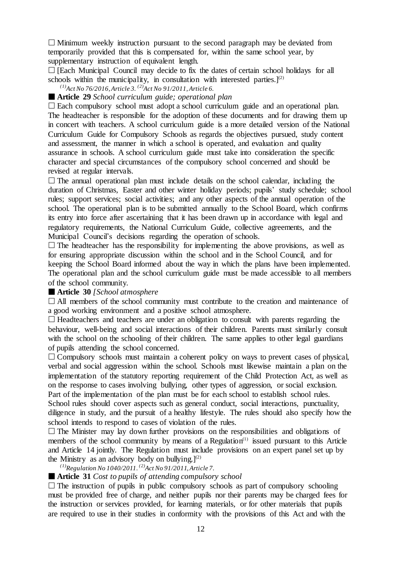$\Box$  Minimum weekly instruction pursuant to the second paragraph may be deviated from temporarily provided that this is compensated for, within the same school year, by supplementary instruction of equivalent length.

 $\Box$  [Each Municipal Council may decide to fix the dates of certain school holidays for all schools within the municipality, in consultation with interested parties.]<sup>(2)</sup>

*(1)Act No 76/2016,Article 3. (2)Act No 91/2011,Article 6.*

### **Article 29** *School curriculum guide; operational plan*

 $\Box$  Each compulsory school must adopt a school curriculum guide and an operational plan. The headteacher is responsible for the adoption of these documents and for drawing them up in concert with teachers. A school curriculum guide is a more detailed version of the National Curriculum Guide for Compulsory Schools as regards the objectives pursued, study content and assessment, the manner in which a school is operated, and evaluation and quality assurance in schools. A school curriculum guide must take into consideration the specific character and special circumstances of the compulsory school concerned and should be revised at regular intervals.

 $\Box$  The annual operational plan must include details on the school calendar, including the duration of Christmas, Easter and other winter holiday periods; pupils' study schedule; school rules; support services; social activities; and any other aspects of the annual operation of the school. The operational plan is to be submitted annually to the School Board, which confirms its entry into force after ascertaining that it has been drawn up in accordance with legal and regulatory requirements, the National Curriculum Guide, collective agreements, and the Municipal Council's decisions regarding the operation of schools.

 $\Box$  The headteacher has the responsibility for implementing the above provisions, as well as for ensuring appropriate discussion within the school and in the School Council, and for keeping the School Board informed about the way in which the plans have been implemented. The operational plan and the school curriculum guide must be made accessible to all members of the school community.

### **Article 30** *[School atmosphere*

 $\Box$  All members of the school community must contribute to the creation and maintenance of a good working environment and a positive school atmosphere.

 $\Box$  Headteachers and teachers are under an obligation to consult with parents regarding the behaviour, well-being and social interactions of their children. Parents must similarly consult with the school on the schooling of their children. The same applies to other legal guardians of pupils attending the school concerned.

 $\Box$  Compulsory schools must maintain a coherent policy on ways to prevent cases of physical, verbal and social aggression within the school. Schools must likewise maintain a plan on the implementation of the statutory reporting requirement of the Child Protection Act, as well as on the response to cases involving bullying, other types of aggression, or social exclusion. Part of the implementation of the plan must be for each school to establish school rules. School rules should cover aspects such as general conduct, social interactions, punctuality, diligence in study, and the pursuit of a healthy lifestyle. The rules should also specify how the school intends to respond to cases of violation of the rules.

 $\Box$  The Minister may lay down further provisions on the responsibilities and obligations of members of the school community by means of a Regulation $(1)$  issued pursuant to this Article and Article 14 jointly. The Regulation must include provisions on an expert panel set up by the Ministry as an advisory body on bullying.] $^{(2)}$ 

*(1)Regulation No 1040/2011. (2)Act No 91/2011,Article 7.*

### **Article 31** *Cost to pupils of attending compulsory school*

 $\Box$  The instruction of pupils in public compulsory schools as part of compulsory schooling must be provided free of charge, and neither pupils nor their parents may be charged fees for the instruction or services provided, for learning materials, or for other materials that pupils are required to use in their studies in conformity with the provisions of this Act and with the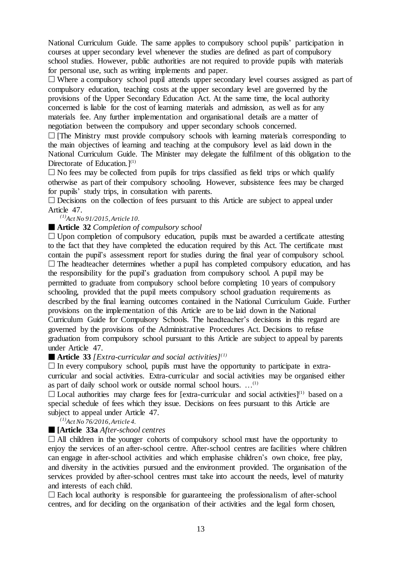National Curriculum Guide. The same applies to compulsory school pupils' participation in courses at upper secondary level whenever the studies are defined as part of compulsory school studies. However, public authorities are not required to provide pupils with materials for personal use, such as writing implements and paper.

 $\Box$  Where a compulsory school pupil attends upper secondary level courses assigned as part of compulsory education, teaching costs at the upper secondary level are governed by the provisions of the Upper Secondary Education Act. At the same time, the local authority concerned is liable for the cost of learning materials and admission, as well as for any materials fee. Any further implementation and organisational details are a matter of negotiation between the compulsory and upper secondary schools concerned.

 $\Box$  [The Ministry must provide compulsory schools with learning materials corresponding to the main objectives of learning and teaching at the compulsory level as laid down in the National Curriculum Guide. The Minister may delegate the fulfilment of this obligation to the Directorate of Education.<sup>[(1)</sup>

 $\Box$  No fees may be collected from pupils for trips classified as field trips or which qualify otherwise as part of their compulsory schooling. However, subsistence fees may be charged for pupils' study trips, in consultation with parents.

 $\square$  Decisions on the collection of fees pursuant to this Article are subject to appeal under Article 47.

# *(1)Act No 91/2015,Article 10.*

# **Article 32** *Completion of compulsory school*

 $\Box$  Upon completion of compulsory education, pupils must be awarded a certificate attesting to the fact that they have completed the education required by this Act. The certificate must contain the pupil's assessment report for studies during the final year of compulsory school.  $\Box$  The headteacher determines whether a pupil has completed compulsory education, and has the responsibility for the pupil's graduation from compulsory school. A pupil may be permitted to graduate from compulsory school before completing 10 years of compulsory schooling, provided that the pupil meets compulsory school graduation requirements as described by the final learning outcomes contained in the National Curriculum Guide. Further provisions on the implementation of this Article are to be laid down in the National Curriculum Guide for Compulsory Schools. The headteacher's decisions in this regard are governed by the provisions of the Administrative Procedures Act. Decisions to refuse graduation from compulsory school pursuant to this Article are subject to appeal by parents under Article 47.

# **Article 33** *[Extra-curricular and social activities](1)*

 $\Box$  In every compulsory school, pupils must have the opportunity to participate in extracurricular and social activities. Extra-curricular and social activities may be organised either as part of daily school work or outside normal school hours.  $\dots$ <sup>(1)</sup>

 $\Box$  Local authorities may charge fees for [extra-curricular and social activities]<sup>(1)</sup> based on a special schedule of fees which they issue. Decisions on fees pursuant to this Article are subject to appeal under Article 47.

*(1)Act No 76/2016,Article 4.*

# **[Article 33a** *After-school centres*

 $\Box$  All children in the younger cohorts of compulsory school must have the opportunity to enjoy the services of an after-school centre. After-school centres are facilities where children can engage in after-school activities and which emphasise children's own choice, free play, and diversity in the activities pursued and the environment provided. The organisation of the services provided by after-school centres must take into account the needs, level of maturity and interests of each child.

 $\square$  Each local authority is responsible for guaranteeing the professionalism of after-school centres, and for deciding on the organisation of their activities and the legal form chosen,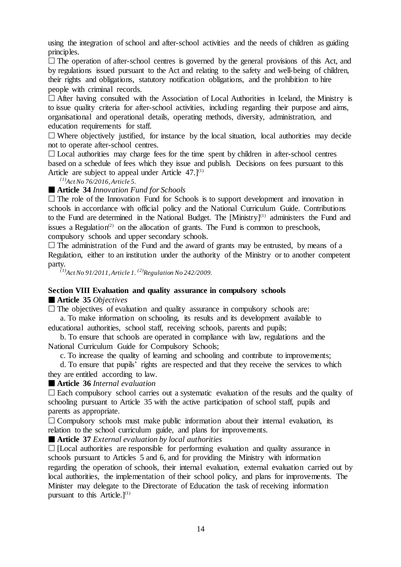using the integration of school and after-school activities and the needs of children as guiding principles.

 $\Box$  The operation of after-school centres is governed by the general provisions of this Act, and by regulations issued pursuant to the Act and relating to the safety and well-being of children, their rights and obligations, statutory notification obligations, and the prohibition to hire people with criminal records.

 $\Box$  After having consulted with the Association of Local Authorities in Iceland, the Ministry is to issue quality criteria for after-school activities, including regarding their purpose and aims, organisational and operational details, operating methods, diversity, administration, and education requirements for staff.

 $\Box$  Where objectively justified, for instance by the local situation, local authorities may decide not to operate after-school centres.

 $\Box$  Local authorities may charge fees for the time spent by children in after-school centres based on a schedule of fees which they issue and publish. Decisions on fees pursuant to this Article are subject to appeal under Article  $47.1^{(1)}$ 

*(1)Act No 76/2016,Article 5.*

# **Article 34** *Innovation Fund for Schools*

 $\Box$  The role of the Innovation Fund for Schools is to support development and innovation in schools in accordance with official policy and the National Curriculum Guide. Contributions to the Fund are determined in the National Budget. The  $[Ministr]^{(1)}$  administers the Fund and issues a Regulation<sup> $(2)$ </sup> on the allocation of grants. The Fund is common to preschools, compulsory schools and upper secondary schools.

 $\Box$  The administration of the Fund and the award of grants may be entrusted, by means of a Regulation, either to an institution under the authority of the Ministry or to another competent party.

*(1)Act No 91/2011,Article 1. (2)Regulation No 242/2009.*

# **Section VIII Evaluation and quality assurance in compulsory schools**

**Article 35** *Objectives*

 $\Box$  The objectives of evaluation and quality assurance in compulsory schools are:

a. To make information on schooling, its results and its development available to educational authorities, school staff, receiving schools, parents and pupils;

b. To ensure that schools are operated in compliance with law, regulations and the National Curriculum Guide for Compulsory Schools;

c. To increase the quality of learning and schooling and contribute to improvements;

d. To ensure that pupils' rights are respected and that they receive the services to which they are entitled according to law.

**Article 36** *Internal evaluation*

 $\square$  Each compulsory school carries out a systematic evaluation of the results and the quality of schooling pursuant to Article 35 with the active participation of school staff, pupils and parents as appropriate.

 $\Box$  Compulsory schools must make public information about their internal evaluation, its relation to the school curriculum guide, and plans for improvements.

**Article 37** *External evaluation by local authorities*

 $\Box$  [Local authorities are responsible for performing evaluation and quality assurance in schools pursuant to Articles 5 and 6, and for providing the Ministry with information regarding the operation of schools, their internal evaluation, external evaluation carried out by local authorities, the implementation of their school policy, and plans for improvements. The Minister may delegate to the Directorate of Education the task of receiving information pursuant to this Article.]<sup>(1)</sup>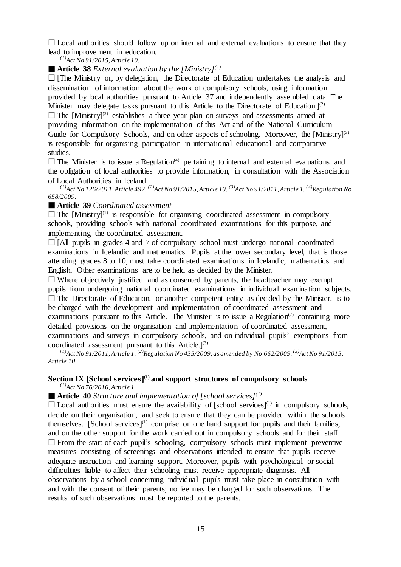$\Box$  Local authorities should follow up on internal and external evaluations to ensure that they lead to improvement in education.

*(1)Act No 91/2015,Article 10.*

**Article 38** *External evaluation by the [Ministry]*<sup>(1)</sup>

 $\Box$  [The Ministry or, by delegation, the Directorate of Education undertakes the analysis and dissemination of information about the work of compulsory schools, using information provided by local authorities pursuant to Article 37 and independently assembled data. The Minister may delegate tasks pursuant to this Article to the Directorate of Education.]<sup>(2)</sup>  $\Box$  The [Ministry]<sup>(3)</sup> establishes a three-year plan on surveys and assessments aimed at providing information on the implementation of this Act and of the National Curriculum Guide for Compulsory Schools, and on other aspects of schooling. Moreover, the  $[Ministr]^{(3)}$ is responsible for organising participation in international educational and comparative studies.

 $\Box$  The Minister is to issue a Regulation<sup>(4)</sup> pertaining to internal and external evaluations and the obligation of local authorities to provide information, in consultation with the Association of Local Authorities in Iceland.

<sup>(1)</sup>Act No 126/2011, Article 492. <sup>(2)</sup>Act No 91/2015, Article 10. <sup>(3)</sup>Act No 91/2011, Article 1. <sup>(4)</sup>Regulation No *658/2009.*

# **Article 39** *Coordinated assessment*

 $\Box$  The [Ministry]<sup>(1)</sup> is responsible for organising coordinated assessment in compulsory schools, providing schools with national coordinated examinations for this purpose, and implementing the coordinated assessment.

 $\Box$  [All pupils in grades 4 and 7 of compulsory school must undergo national coordinated examinations in Icelandic and mathematics. Pupils at the lower secondary level, that is those attending grades 8 to 10, must take coordinated examinations in Icelandic, mathematics and English. Other examinations are to be held as decided by the Minister.

 $\Box$  Where objectively justified and as consented by parents, the headteacher may exempt pupils from undergoing national coordinated examinations in individual examination subjects.  $\Box$  The Directorate of Education, or another competent entity as decided by the Minister, is to be charged with the development and implementation of coordinated assessment and examinations pursuant to this Article. The Minister is to issue a Regulation<sup> $(2)$ </sup> containing more detailed provisions on the organisation and implementation of coordinated assessment, examinations and surveys in compulsory schools, and on individual pupils' exemptions from coordinated assessment pursuant to this Article. $]^{(3)}$ 

<sup>(1)</sup>Act No 91/2011, Article 1.<sup>(2)</sup>Regulation No 435/2009, as amended by No 662/2009.<sup>(3)</sup>Act No 91/2015, *Article 10.*

#### **Section IX [School services](1) and support structures of compulsory schools** *(1)Act No 76/2016,Article 1.*

■ **Article** 40 *Structure and implementation of* [school services]<sup>(1)</sup>

 $\Box$  Local authorities must ensure the availability of [school services]<sup>(1)</sup> in compulsory schools, decide on their organisation, and seek to ensure that they can be provided within the schools themselves.  $[School$  services $]^{(1)}$  comprise on one hand support for pupils and their families, and on the other support for the work carried out in compulsory schools and for their staff.  $\Box$  From the start of each pupil's schooling, compulsory schools must implement preventive measures consisting of screenings and observations intended to ensure that pupils receive adequate instruction and learning support. Moreover, pupils with psychological or social difficulties liable to affect their schooling must receive appropriate diagnosis. All observations by a school concerning individual pupils must take place in consultation with and with the consent of their parents; no fee may be charged for such observations. The results of such observations must be reported to the parents.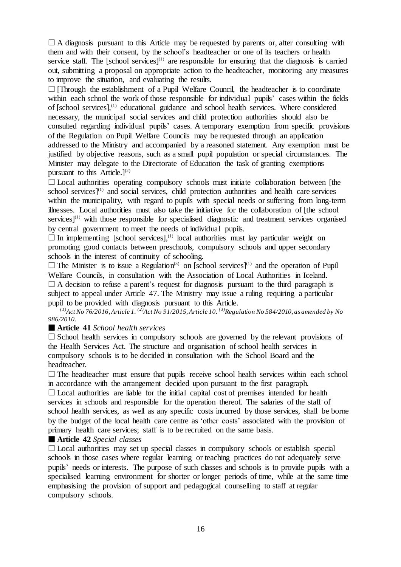$\Box$  A diagnosis pursuant to this Article may be requested by parents or, after consulting with them and with their consent, by the school's headteacher or one of its teachers or health service staff. The [school services] $(1)$  are responsible for ensuring that the diagnosis is carried out, submitting a proposal on appropriate action to the headteacher, monitoring any measures to improve the situation, and evaluating the results.

 $\Box$  [Through the establishment of a Pupil Welfare Council, the headteacher is to coordinate within each school the work of those responsible for individual pupils' cases within the fields of [school services],(1) educational guidance and school health services. Where considered necessary, the municipal social services and child protection authorities should also be consulted regarding individual pupils' cases. A temporary exemption from specific provisions of the Regulation on Pupil Welfare Councils may be requested through an application addressed to the Ministry and accompanied by a reasoned statement. Any exemption must be justified by objective reasons, such as a small pupil population or special circumstances. The Minister may delegate to the Directorate of Education the task of granting exemptions pursuant to this Article.<sup>[2]</sup>

 $\Box$  Local authorities operating compulsory schools must initiate collaboration between [the school services] $<sup>(1)</sup>$  and social services, child protection authorities and health care services</sup> within the municipality, with regard to pupils with special needs or suffering from long-term illnesses. Local authorities must also take the initiative for the collaboration of [the school services] $<sup>(1)</sup>$  with those responsible for specialised diagnostic and treatment services organised</sup> by central government to meet the needs of individual pupils.

 $\Box$  In implementing [school services],<sup>(1)</sup> local authorities must lay particular weight on promoting good contacts between preschools, compulsory schools and upper secondary schools in the interest of continuity of schooling.

 $\Box$  The Minister is to issue a Regulation<sup>(3)</sup> on [school services]<sup>(1)</sup> and the operation of Pupil Welfare Councils, in consultation with the Association of Local Authorities in Iceland.  $\Box$  A decision to refuse a parent's request for diagnosis pursuant to the third paragraph is subject to appeal under Article 47. The Ministry may issue a ruling requiring a particular pupil to be provided with diagnosis pursuant to this Article.

<sup>(1)</sup>Act No 76/2016, Article 1. <sup>(2)</sup>Act No 91/2015, Article 10. <sup>(3)</sup>Regulation No 584/2010, as amended by No *986/2010.*

# **Article 41** *School health services*

 $\square$  School health services in compulsory schools are governed by the relevant provisions of the Health Services Act. The structure and organisation of school health services in compulsory schools is to be decided in consultation with the School Board and the headteacher.

 $\Box$  The headteacher must ensure that pupils receive school health services within each school in accordance with the arrangement decided upon pursuant to the first paragraph.

 $\Box$  Local authorities are liable for the initial capital cost of premises intended for health services in schools and responsible for the operation thereof. The salaries of the staff of school health services, as well as any specific costs incurred by those services, shall be borne by the budget of the local health care centre as 'other costs' associated with the provision of primary health care services; staff is to be recruited on the same basis.

#### **Article 42** *Special classes*

 $\Box$  Local authorities may set up special classes in compulsory schools or establish special schools in those cases where regular learning or teaching practices do not adequately serve pupils' needs or interests. The purpose of such classes and schools is to provide pupils with a specialised learning environment for shorter or longer periods of time, while at the same time emphasising the provision of support and pedagogical counselling to staff at regular compulsory schools.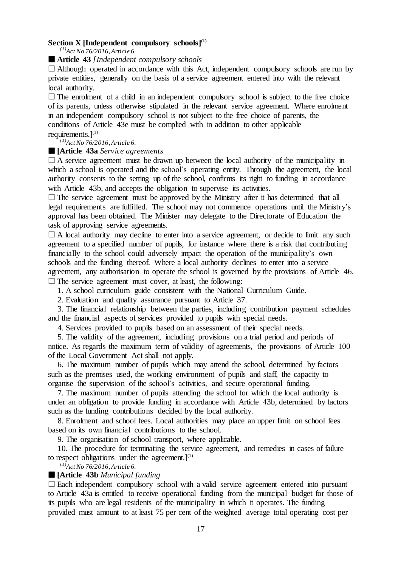# **Section X [Independent compulsory schools](1)**

*(1)Act No 76/2016,Article 6.*

#### **Article 43** *[Independent compulsory schools*

 $\Box$  Although operated in accordance with this Act, independent compulsory schools are run by private entities, generally on the basis of a service agreement entered into with the relevant local authority.

 $\Box$  The enrolment of a child in an independent compulsory school is subject to the free choice of its parents, unless otherwise stipulated in the relevant service agreement. Where enrolment in an independent compulsory school is not subject to the free choice of parents, the conditions of Article 43e must be complied with in addition to other applicable requirements. $]^{(1)}$ 

*(1)Act No 76/2016,Article 6.*

#### **[Article 43a** *Service agreements*

 $\Box$  A service agreement must be drawn up between the local authority of the municipality in which a school is operated and the school's operating entity. Through the agreement, the local authority consents to the setting up of the school, confirms its right to funding in accordance with Article 43b, and accepts the obligation to supervise its activities.

 $\Box$  The service agreement must be approved by the Ministry after it has determined that all legal requirements are fulfilled. The school may not commence operations until the Ministry's approval has been obtained. The Minister may delegate to the Directorate of Education the task of approving service agreements.

 $\Box$  A local authority may decline to enter into a service agreement, or decide to limit any such agreement to a specified number of pupils, for instance where there is a risk that contributing financially to the school could adversely impact the operation of the municipality's own schools and the funding thereof. Where a local authority declines to enter into a service agreement, any authorisation to operate the school is governed by the provisions of Article 46.  $\square$  The service agreement must cover, at least, the following:

1. A school curriculum guide consistent with the National Curriculum Guide.

2. Evaluation and quality assurance pursuant to Article 37.

3. The financial relationship between the parties, including contribution payment schedules and the financial aspects of services provided to pupils with special needs.

4. Services provided to pupils based on an assessment of their special needs.

5. The validity of the agreement, including provisions on a trial period and periods of notice. As regards the maximum term of validity of agreements, the provisions of Article 100 of the Local Government Act shall not apply.

6. The maximum number of pupils which may attend the school, determined by factors such as the premises used, the working environment of pupils and staff, the capacity to organise the supervision of the school's activities, and secure operational funding.

7. The maximum number of pupils attending the school for which the local authority is under an obligation to provide funding in accordance with Article 43b, determined by factors such as the funding contributions decided by the local authority.

8. Enrolment and school fees. Local authorities may place an upper limit on school fees based on its own financial contributions to the school.

9. The organisation of school transport, where applicable.

10. The procedure for terminating the service agreement, and remedies in cases of failure to respect obligations under the agreement. $]^{(1)}$ 

*(1)Act No 76/2016,Article 6.*

### **[Article 43b** *Municipal funding*

 Each independent compulsory school with a valid service agreement entered into pursuant to Article 43a is entitled to receive operational funding from the municipal budget for those of its pupils who are legal residents of the municipality in which it operates. The funding provided must amount to at least 75 per cent of the weighted average total operating cost per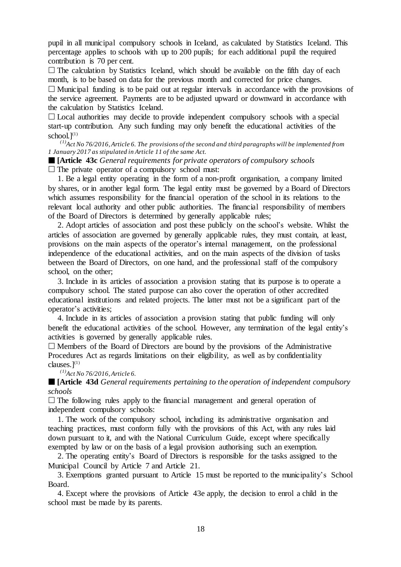pupil in all municipal compulsory schools in Iceland, as calculated by Statistics Iceland. This percentage applies to schools with up to 200 pupils; for each additional pupil the required contribution is 70 per cent.

 $\Box$  The calculation by Statistics Iceland, which should be available on the fifth day of each month, is to be based on data for the previous month and corrected for price changes.  $\Box$  Municipal funding is to be paid out at regular intervals in accordance with the provisions of the service agreement. Payments are to be adjusted upward or downward in accordance with

the calculation by Statistics Iceland.

 $\Box$  Local authorities may decide to provide independent compulsory schools with a special start-up contribution. Any such funding may only benefit the educational activities of the school. $l^{(1)}$ 

*(1)Act No 76/2016,Article 6. The provisions of the second and third paragraphswill be implemented from 1 January 2017 as stipulated in Article 11 of the same Act.*

 **[Article 43c** *General requirements for private operators of compulsory schools*  $\Box$  The private operator of a compulsory school must:

1. Be a legal entity operating in the form of a non-profit organisation, a company limited by shares, or in another legal form. The legal entity must be governed by a Board of Directors which assumes responsibility for the financial operation of the school in its relations to the relevant local authority and other public authorities. The financial responsibility of members of the Board of Directors is determined by generally applicable rules;

2. Adopt articles of association and post these publicly on the school's website. Whilst the articles of association are governed by generally applicable rules, they must contain, at least, provisions on the main aspects of the operator's internal management, on the professional independence of the educational activities, and on the main aspects of the division of tasks between the Board of Directors, on one hand, and the professional staff of the compulsory school, on the other;

3. Include in its articles of association a provision stating that its purpose is to operate a compulsory school. The stated purpose can also cover the operation of other accredited educational institutions and related projects. The latter must not be a significant part of the operator's activities;

4. Include in its articles of association a provision stating that public funding will only benefit the educational activities of the school. However, any termination of the legal entity's activities is governed by generally applicable rules.

 $\Box$  Members of the Board of Directors are bound by the provisions of the Administrative Procedures Act as regards limitations on their eligibility, as well as by confidentiality clauses. $]^{(1)}$ 

*(1)Act No 76/2016,Article 6.*

 **[Article 43d** *General requirements pertaining to the operation of independent compulsory schools*

 $\Box$  The following rules apply to the financial management and general operation of independent compulsory schools:

1. The work of the compulsory school, including its administrative organisation and teaching practices, must conform fully with the provisions of this Act, with any rules laid down pursuant to it, and with the National Curriculum Guide, except where specifically exempted by law or on the basis of a legal provision authorising such an exemption.

2. The operating entity's Board of Directors is responsible for the tasks assigned to the Municipal Council by Article 7 and Article 21.

3. Exemptions granted pursuant to Article 15 must be reported to the municipality's School Board.

4. Except where the provisions of Article 43e apply, the decision to enrol a child in the school must be made by its parents.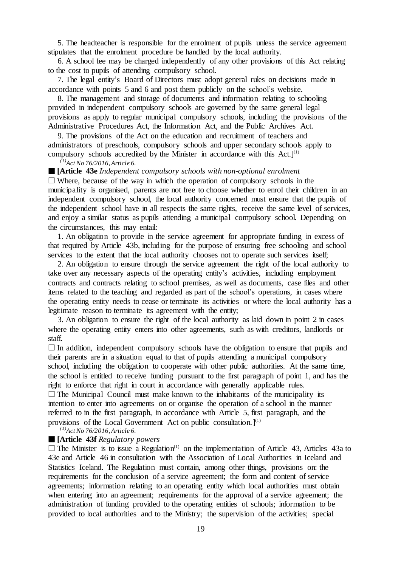5. The headteacher is responsible for the enrolment of pupils unless the service agreement stipulates that the enrolment procedure be handled by the local authority.

6. A school fee may be charged independently of any other provisions of this Act relating to the cost to pupils of attending compulsory school.

7. The legal entity's Board of Directors must adopt general rules on decisions made in accordance with points 5 and 6 and post them publicly on the school's website.

8. The management and storage of documents and information relating to schooling provided in independent compulsory schools are governed by the same general legal provisions as apply to regular municipal compulsory schools, including the provisions of the Administrative Procedures Act, the Information Act, and the Public Archives Act.

9. The provisions of the Act on the education and recruitment of teachers and administrators of preschools, compulsory schools and upper secondary schools apply to compulsory schools accredited by the Minister in accordance with this Act. $]^{(1)}$ 

*(1)Act No 76/2016,Article 6.*

**[Article 43e** *Independent compulsory schools with non-optional enrolment*

 $\Box$  Where, because of the way in which the operation of compulsory schools in the municipality is organised, parents are not free to choose whether to enrol their children in an independent compulsory school, the local authority concerned must ensure that the pupils of the independent school have in all respects the same rights, receive the same level of services, and enjoy a similar status as pupils attending a municipal compulsory school. Depending on the circumstances, this may entail:

1. An obligation to provide in the service agreement for appropriate funding in excess of that required by Article 43b, including for the purpose of ensuring free schooling and school services to the extent that the local authority chooses not to operate such services itself;

2. An obligation to ensure through the service agreement the right of the local authority to take over any necessary aspects of the operating entity's activities, including employment contracts and contracts relating to school premises, as well as documents, case files and other items related to the teaching and regarded as part of the school's operations, in cases where the operating entity needs to cease or terminate its activities or where the local authority has a legitimate reason to terminate its agreement with the entity;

3. An obligation to ensure the right of the local authority as laid down in point 2 in cases where the operating entity enters into other agreements, such as with creditors, landlords or staff.

 $\Box$  In addition, independent compulsory schools have the obligation to ensure that pupils and their parents are in a situation equal to that of pupils attending a municipal compulsory school, including the obligation to cooperate with other public authorities. At the same time, the school is entitled to receive funding pursuant to the first paragraph of point 1, and has the right to enforce that right in court in accordance with generally applicable rules.

 $\Box$  The Municipal Council must make known to the inhabitants of the municipality its intention to enter into agreements on or organise the operation of a school in the manner referred to in the first paragraph, in accordance with Article 5, first paragraph, and the provisions of the Local Government Act on public consultation.]<sup>(1)</sup>

*(1)Act No 76/2016,Article 6.*

#### **[Article 43f** *Regulatory powers*

 $\Box$  The Minister is to issue a Regulation<sup>(1)</sup> on the implementation of Article 43, Articles 43a to 43e and Article 46 in consultation with the Association of Local Authorities in Iceland and Statistics Iceland. The Regulation must contain, among other things, provisions on: the requirements for the conclusion of a service agreement; the form and content of service agreements; information relating to an operating entity which local authorities must obtain when entering into an agreement; requirements for the approval of a service agreement; the administration of funding provided to the operating entities of schools; information to be provided to local authorities and to the Ministry; the supervision of the activities; special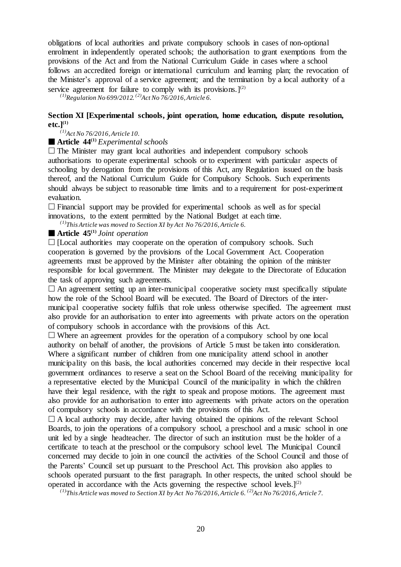obligations of local authorities and private compulsory schools in cases of non-optional enrolment in independently operated schools; the authorisation to grant exemptions from the provisions of the Act and from the National Curriculum Guide in cases where a school follows an accredited foreign or international curriculum and learning plan; the revocation of the Minister's approval of a service agreement; and the termination by a local authority of a service agreement for failure to comply with its provisions.  $]^{(2)}$ 

*(1)Regulation No 699/2012. (2)Act No 76/2016,Article 6.*

# **Section XI [Experimental schools, joint operation, home education, dispute resolution, etc.](1)**

*(1)Act No 76/2016,Article 10.*

**Article 44(1)** *Experimental schools*

 $\Box$  The Minister may grant local authorities and independent compulsory schools authorisations to operate experimental schools or to experiment with particular aspects of schooling by derogation from the provisions of this Act, any Regulation issued on the basis thereof, and the National Curriculum Guide for Compulsory Schools. Such experiments should always be subject to reasonable time limits and to a requirement for post-experiment evaluation.

 $\Box$  Financial support may be provided for experimental schools as well as for special innovations, to the extent permitted by the National Budget at each time.

*(1)This Article was moved to Section XI by Act No 76/2016,Article 6.*

**Article 45(1)** *Joint operation*

 $\Box$  [Local authorities may cooperate on the operation of compulsory schools. Such cooperation is governed by the provisions of the Local Government Act. Cooperation agreements must be approved by the Minister after obtaining the opinion of the minister responsible for local government. The Minister may delegate to the Directorate of Education the task of approving such agreements.

 $\Box$  An agreement setting up an inter-municipal cooperative society must specifically stipulate how the role of the School Board will be executed. The Board of Directors of the intermunicipal cooperative society fulfils that role unless otherwise specified. The agreement must also provide for an authorisation to enter into agreements with private actors on the operation of compulsory schools in accordance with the provisions of this Act.

 $\Box$  Where an agreement provides for the operation of a compulsory school by one local authority on behalf of another, the provisions of Article 5 must be taken into consideration. Where a significant number of children from one municipality attend school in another municipality on this basis, the local authorities concerned may decide in their respective local government ordinances to reserve a seat on the School Board of the receiving municipality for a representative elected by the Municipal Council of the municipality in which the children have their legal residence, with the right to speak and propose motions. The agreement must also provide for an authorisation to enter into agreements with private actors on the operation of compulsory schools in accordance with the provisions of this Act.

 $\Box$  A local authority may decide, after having obtained the opinions of the relevant School Boards, to join the operations of a compulsory school, a preschool and a music school in one unit led by a single headteacher. The director of such an institution must be the holder of a certificate to teach at the preschool or the compulsory school level. The Municipal Council concerned may decide to join in one council the activities of the School Council and those of the Parents' Council set up pursuant to the Preschool Act. This provision also applies to schools operated pursuant to the first paragraph. In other respects, the united school should be operated in accordance with the Acts governing the respective school levels. $]^{(2)}$ 

 $^{(1)}$ This Article was moved to Section XI by Act No 76/2016, Article 6. <sup>(2)</sup>Act No 76/2016, Article 7.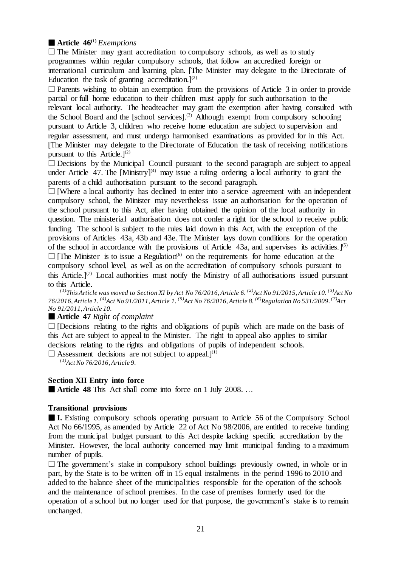# **Article 46(1)** *Exemptions*

 $\Box$  The Minister may grant accreditation to compulsory schools, as well as to study programmes within regular compulsory schools, that follow an accredited foreign or international curriculum and learning plan. [The Minister may delegate to the Directorate of Education the task of granting accreditation.]<sup>(2)</sup>

 $\Box$  Parents wishing to obtain an exemption from the provisions of Article 3 in order to provide partial or full home education to their children must apply for such authorisation to the relevant local authority. The headteacher may grant the exemption after having consulted with the School Board and the [school services].<sup>(3)</sup> Although exempt from compulsory schooling pursuant to Article 3, children who receive home education are subject to supervision and regular assessment, and must undergo harmonised examinations as provided for in this Act. [The Minister may delegate to the Directorate of Education the task of receiving notifications pursuant to this Article.<sup>[2]</sup>

 $\square$  Decisions by the Municipal Council pursuant to the second paragraph are subject to appeal under Article 47. The  $[Ministry]^{(4)}$  may issue a ruling ordering a local authority to grant the parents of a child authorisation pursuant to the second paragraph.

 $\Box$  [Where a local authority has declined to enter into a service agreement with an independent compulsory school, the Minister may nevertheless issue an authorisation for the operation of the school pursuant to this Act, after having obtained the opinion of the local authority in question. The ministerial authorisation does not confer a right for the school to receive public funding. The school is subject to the rules laid down in this Act, with the exception of the provisions of Articles 43a, 43b and 43e. The Minister lays down conditions for the operation of the school in accordance with the provisions of Article 43a, and supervises its activities.  $\binom{5}{1}$  $\Box$  [The Minister is to issue a Regulation<sup>(6)</sup> on the requirements for home education at the compulsory school level, as well as on the accreditation of compulsory schools pursuant to this Article.<sup>[7]</sup> Local authorities must notify the Ministry of all authorisations issued pursuant to this Article.

<sup>(1)</sup>This Article was moved to Section XI by Act No 76/2016, Article 6. <sup>(2)</sup>Act No 91/2015, Article 10. <sup>(3)</sup>Act No 76/2016, Article 1. <sup>(4)</sup>Act No 91/2011, Article 1. <sup>(5)</sup>Act No 76/2016, Article 8. <sup>(6)</sup>Regulation No 531/2009. <sup>(7)</sup>Act *No 91/2011,Article 10.*

# **Article 47** *Right of complaint*

 $\Box$  [Decisions relating to the rights and obligations of pupils which are made on the basis of this Act are subject to appeal to the Minister. The right to appeal also applies to similar decisions relating to the rights and obligations of pupils of independent schools.

 $\square$  Assessment decisions are not subject to appeal.]<sup>(1)</sup>

*(1)Act No 76/2016,Article 9.*

# **Section XII Entry into force**

■ **Article 48** This Act shall come into force on 1 July 2008. ...

# **Transitional provisions**

 **I.** Existing compulsory schools operating pursuant to Article 56 of the Compulsory School Act No 66/1995, as amended by Article 22 of Act No 98/2006, are entitled to receive funding from the municipal budget pursuant to this Act despite lacking specific accreditation by the Minister. However, the local authority concerned may limit municipal funding to a maximum number of pupils.

 $\Box$  The government's stake in compulsory school buildings previously owned, in whole or in part, by the State is to be written off in 15 equal instalments in the period 1996 to 2010 and added to the balance sheet of the municipalities responsible for the operation of the schools and the maintenance of school premises. In the case of premises formerly used for the operation of a school but no longer used for that purpose, the government's stake is to remain unchanged.